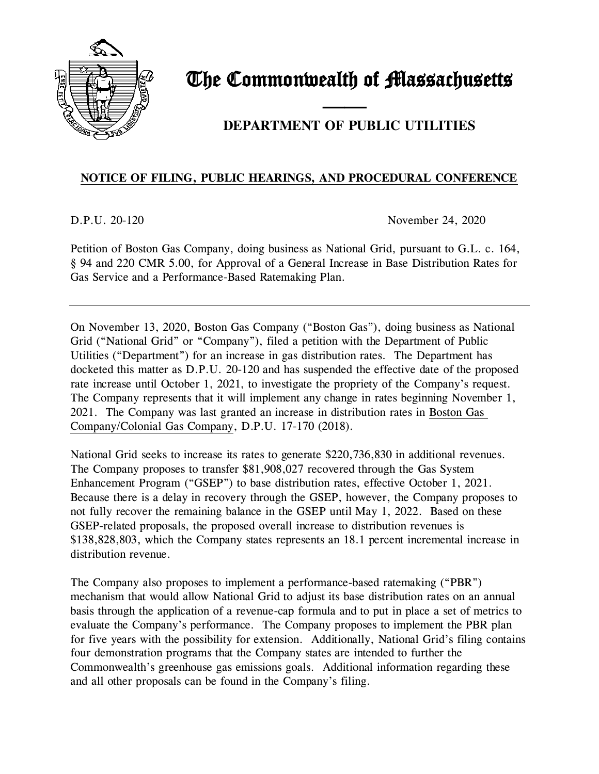

# The Commonwealth of Massachusetts

## and the contract of the contract of **DEPARTMENT OF PUBLIC UTILITIES**

### **NOTICE OF FILING, PUBLIC HEARINGS, AND PROCEDURAL CONFERENCE**

D.P.U. 20-120 November 24, 2020

Petition of Boston Gas Company, doing business as National Grid, pursuant to G.L. c. 164, § 94 and 220 CMR 5.00, for Approval of a General Increase in Base Distribution Rates for Gas Service and a Performance-Based Ratemaking Plan.

On November 13, 2020, Boston Gas Company ("Boston Gas"), doing business as National Grid ("National Grid" or "Company"), filed a petition with the Department of Public Utilities ("Department") for an increase in gas distribution rates. The Department has docketed this matter as D.P.U. 20-120 and has suspended the effective date of the proposed rate increase until October 1, 2021, to investigate the propriety of the Company's request. The Company represents that it will implement any change in rates beginning November 1, 2021. The Company was last granted an increase in distribution rates in Boston Gas Company/Colonial Gas Company, D.P.U. 17-170 (2018).

National Grid seeks to increase its rates to generate \$220,736,830 in additional revenues. The Company proposes to transfer \$81,908,027 recovered through the Gas System Enhancement Program ("GSEP") to base distribution rates, effective October 1, 2021. Because there is a delay in recovery through the GSEP, however, the Company proposes to not fully recover the remaining balance in the GSEP until May 1, 2022. Based on these GSEP-related proposals, the proposed overall increase to distribution revenues is \$138,828,803, which the Company states represents an 18.1 percent incremental increase in distribution revenue.

The Company also proposes to implement a performance-based ratemaking ("PBR") mechanism that would allow National Grid to adjust its base distribution rates on an annual basis through the application of a revenue-cap formula and to put in place a set of metrics to evaluate the Company's performance. The Company proposes to implement the PBR plan for five years with the possibility for extension. Additionally, National Grid's filing contains four demonstration programs that the Company states are intended to further the Commonwealth's greenhouse gas emissions goals. Additional information regarding these and all other proposals can be found in the Company's filing.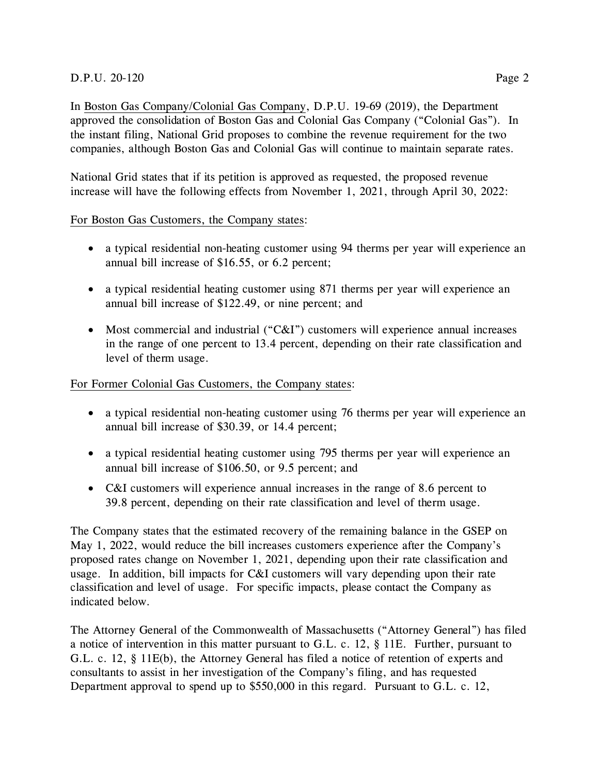In Boston Gas Company/Colonial Gas Company, D.P.U. 19-69 (2019), the Department approved the consolidation of Boston Gas and Colonial Gas Company ("Colonial Gas"). In the instant filing, National Grid proposes to combine the revenue requirement for the two companies, although Boston Gas and Colonial Gas will continue to maintain separate rates.

National Grid states that if its petition is approved as requested, the proposed revenue increase will have the following effects from November 1, 2021, through April 30, 2022:

#### For Boston Gas Customers, the Company states:

- a typical residential non-heating customer using 94 therms per year will experience an annual bill increase of \$16.55, or 6.2 percent;
- a typical residential heating customer using 871 therms per year will experience an annual bill increase of \$122.49, or nine percent; and
- Most commercial and industrial ("C&I") customers will experience annual increases in the range of one percent to 13.4 percent, depending on their rate classification and level of therm usage.

#### For Former Colonial Gas Customers, the Company states:

- a typical residential non-heating customer using 76 therms per year will experience an annual bill increase of \$30.39, or 14.4 percent;
- a typical residential heating customer using 795 therms per year will experience an annual bill increase of \$106.50, or 9.5 percent; and
- C&I customers will experience annual increases in the range of 8.6 percent to 39.8 percent, depending on their rate classification and level of therm usage.

The Company states that the estimated recovery of the remaining balance in the GSEP on May 1, 2022, would reduce the bill increases customers experience after the Company's proposed rates change on November 1, 2021, depending upon their rate classification and usage. In addition, bill impacts for C&I customers will vary depending upon their rate classification and level of usage. For specific impacts, please contact the Company as indicated below.

The Attorney General of the Commonwealth of Massachusetts ("Attorney General") has filed a notice of intervention in this matter pursuant to G.L. c. 12, § 11E. Further, pursuant to G.L. c. 12, § 11E(b), the Attorney General has filed a notice of retention of experts and consultants to assist in her investigation of the Company's filing, and has requested Department approval to spend up to \$550,000 in this regard. Pursuant to G.L. c. 12,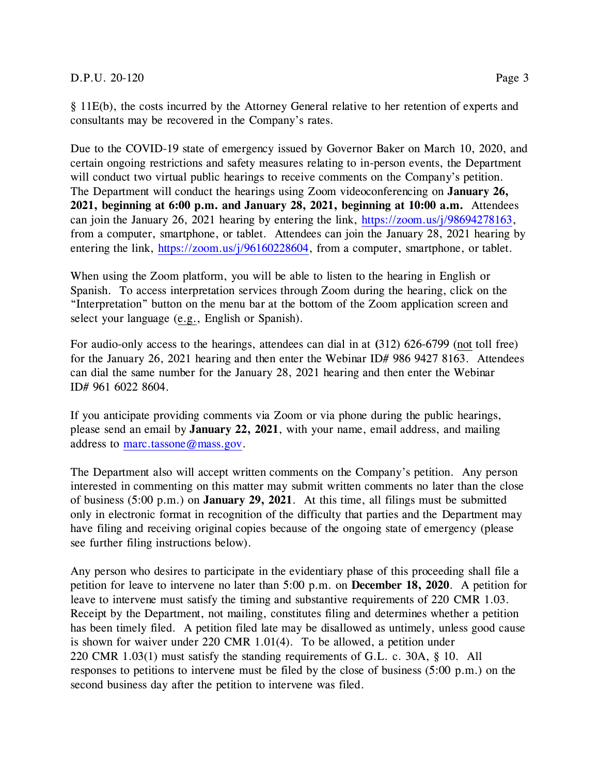#### D.P.U. 20-120 Page 3

§ 11E(b), the costs incurred by the Attorney General relative to her retention of experts and consultants may be recovered in the Company's rates.

Due to the COVID-19 state of emergency issued by Governor Baker on March 10, 2020, and certain ongoing restrictions and safety measures relating to in-person events, the Department will conduct two virtual public hearings to receive comments on the Company's petition. The Department will conduct the hearings using Zoom videoconferencing on **January 26, 2021, beginning at 6:00 p.m. and January 28, 2021, beginning at 10:00 a.m.** Attendees can join the January 26, 2021 hearing by entering the link, [https://zoom.us/j/98694278163,](https://zoom.us/j/98694278163) from a computer, smartphone, or tablet. Attendees can join the January 28, 2021 hearing by entering the link, [https://zoom.us/j/96160228604,](https://zoom.us/j/96160228604) from a computer, smartphone, or tablet.

When using the Zoom platform, you will be able to listen to the hearing in English or Spanish. To access interpretation services through Zoom during the hearing, click on the "Interpretation" button on the menu bar at the bottom of the Zoom application screen and select your language (e.g., English or Spanish).

For audio-only access to the hearings, attendees can dial in at **(**312) 626-6799 (not toll free) for the January 26, 2021 hearing and then enter the Webinar ID# 986 9427 8163. Attendees can dial the same number for the January 28, 2021 hearing and then enter the Webinar ID# 961 6022 8604.

If you anticipate providing comments via Zoom or via phone during the public hearings, please send an email by **January 22, 2021**, with your name, email address, and mailing address to [marc.tassone@mass.gov.](mailto:marc.tassone@mass.gov)

The Department also will accept written comments on the Company's petition. Any person interested in commenting on this matter may submit written comments no later than the close of business (5:00 p.m.) on **January 29, 2021**. At this time, all filings must be submitted only in electronic format in recognition of the difficulty that parties and the Department may have filing and receiving original copies because of the ongoing state of emergency (please see further filing instructions below).

Any person who desires to participate in the evidentiary phase of this proceeding shall file a petition for leave to intervene no later than 5:00 p.m. on **December 18, 2020**. A petition for leave to intervene must satisfy the timing and substantive requirements of 220 CMR 1.03. Receipt by the Department, not mailing, constitutes filing and determines whether a petition has been timely filed. A petition filed late may be disallowed as untimely, unless good cause is shown for waiver under 220 CMR 1.01(4). To be allowed, a petition under 220 CMR 1.03(1) must satisfy the standing requirements of G.L. c. 30A, § 10. All responses to petitions to intervene must be filed by the close of business (5:00 p.m.) on the second business day after the petition to intervene was filed.